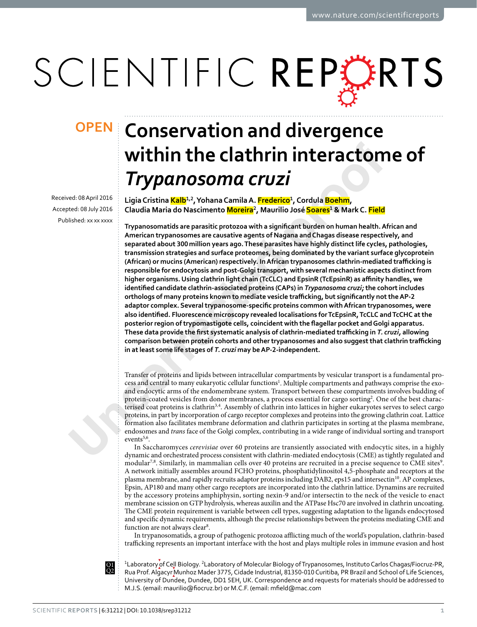# SCIENTIFIC REPERTS

Received: 08 April 2016 Accepted: 08 July 2016 Published: xx xx xxxx

## **Conservation and divergence OPENwithin the clathrin interactome of**  *Trypanosoma cruzi*

**LigiaCristina Kalb<sup>1</sup>,<sup>2</sup>, YohanaCamilaA. Frederico<sup>1</sup>, Cordula Boehm, Claudia Maria do Nascimento Moreira<sup>2</sup>, Maurilio José Soares<sup>1</sup> & Mark C. Field**

**ITTYPOON CONTRACTION INTERFORMATION INTERFORMATION**<br> **United CRAPTION CONTRACTION**<br> **United CRAPTION CONTRACTION**<br> **Using Cristina Kalib<sup>12</sup>, Vohana Camilia A. <b>Erederice**<sup>1</sup>, Cordula **Boshim**,<br>
ted 08.4y700 CRoudia Maria **Trypanosomatids are parasitic protozoa with a signifcant burden on human health. African and American trypanosomes are causative agents of Nagana and Chagas disease respectively, and separated about 300million years ago. These parasites have highly distinct life cycles, pathologies, transmission strategies and surface proteomes, being dominated by the variant surface glycoprotein (African) or mucins (American) respectively. In African trypanosomes clathrin-mediated trafcking is responsible for endocytosis and post-Golgi transport, with several mechanistic aspects distinct from higher organisms. Using clathrin light chain (TcCLC) and EpsinR (TcEpsinR) as afnity handles, we identifed candidate clathrin-associated proteins (CAPs) in** *Trypanosoma cruzi;* **the cohort includes**  orthologs of many proteins known to mediate vesicle trafficking, but significantly not the AP-2 **adaptor complex. Several trypanosome-specifc proteins common with African trypanosomes, were also identifed. Fluorescence microscopy revealed localisations for TcEpsinR, TcCLC and TcCHC at the posterior region of trypomastigote cells, coincident with the fagellar pocket and Golgi apparatus.**  These data provide the first systematic analysis of clathrin-mediated trafficking in *T. cruzi*, allowing comparison between protein cohorts and other trypanosomes and also suggest that clathrin trafficking **in at least some life stages of** *T. cruzi* **may be AP-2-independent.**

Transfer of proteins and lipids between intracellular compartments by vesicular transport is a fundamental process and central to many eukaryotic cellular functions<sup>1</sup>. Multiple compartments and pathways comprise the exoand endocytic arms of the endomembrane system. Transport between these compartments involves budding of protein-coated vesicles from donor membranes, a process essential for cargo sorting<sup>2</sup>. One of the best characterised coat proteins is clathrin3,4. Assembly of clathrin into lattices in higher eukaryotes serves to select cargo proteins, in part by incorporation of cargo receptor complexes and proteins into the growing clathrin coat. Lattice formation also facilitates membrane deformation and clathrin participates in sorting at the plasma membrane, endosomes and *trans* face of the Golgi complex, contributing in a wide range of individual sorting and transport events<sup>5,6</sup>.

In Saccharomyces *cerevisiae* over 60 proteins are transiently associated with endocytic sites, in a highly dynamic and orchestrated process consistent with clathrin-mediated endocytosis (CME) as tightly regulated and modular<sup>7,8</sup>. Similarly, in mammalian cells over 40 proteins are recruited in a precise sequence to CME sites<sup>[9](#page-10-8)</sup>. A network initially assembles around FCHO proteins, phosphatidylinositol 4,5-phosphate and receptors at the plasma membrane, and rapidly recruits adaptor proteins including DAB2, eps15 and intersectin[10.](#page-10-9) AP complexes, Epsin, AP180 and many other cargo receptors are incorporated into the clathrin lattice. Dynamins are recruited by the accessory proteins amphiphysin, sorting nexin-9 and/or intersectin to the neck of the vesicle to enact membrane scission on GTP hydrolysis, whereas auxilin and the ATPase Hsc70 are involved in clathrin uncoating. The CME protein requirement is variable between cell types, suggesting adaptation to the ligands endocytosed and specifc dynamic requirements, although the precise relationships between the proteins mediating CME and function are not always clear<sup>[8](#page-10-7)</sup>.

In trypanosomatids, a group of pathogenic protozoa aficting much of the world's population, clathrin-based trafficking represents an important interface with the host and plays multiple roles in immune evasion and host

<sup>1</sup> Laboratory of Cell Biology. <sup>2</sup> Laboratory of Molecular Biology of Trypanosomes, Instituto Carlos Chagas/Fiocruz-PR, المستخدم المستخدم المستخدمة المستخدمة المستخدمة المستخدمة المستخدمة المستخدمة المستخدمة المستخدمة المستخدمة ال<br>Rua Prof. Algacyr Munhoz Mader 3775, Cidade Industrial, 81350-010 Curitiba, PR Brazil and School of Life Scien University of Dundee, Dundee, DD1 5EH, UK. Correspondence and requests for materials should be addressed to M.J.S. (email: maurilio@fiocruz.br) or M.C.F. (email: mfield@mac.com

Q1 Q2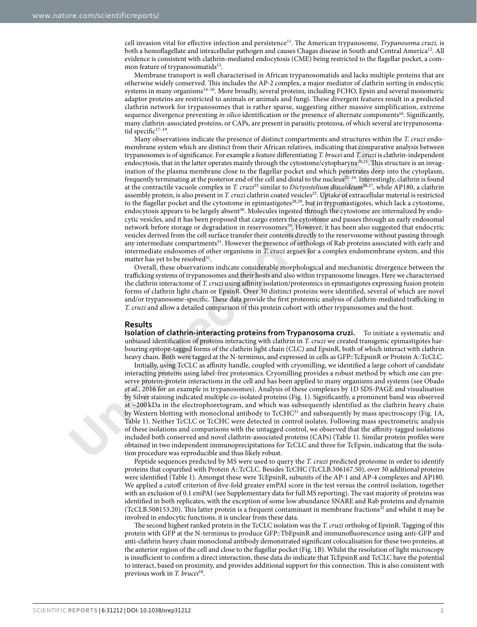cell invasion vital for effective infection and persistence<sup>11</sup>. The American trypanosome, *Trypanosoma cruzi*, is both a hemoflagellate and intracellular pathogen and causes Chagas disease in South and Central America<sup>12</sup>. All evidence is consistent with clathrin-mediated endocytosis (CME) being restricted to the fagellar pocket, a common feature of trypanosomatids $13$ .

Membrane transport is well characterised in African trypanosomatids and lacks multiple proteins that are otherwise widely conserved. Tis includes the AP-2 complex, a major mediator of clathrin sorting in endocytic systems in many organisms<sup>14-16</sup>. More broadly, several proteins, including FCHO, Epsin and several monomeric adaptor proteins are restricted to animals or animals and fungi. These divergent features result in a predicted clathrin network for trypanosomes that is rather sparse, suggesting either massive simplification, extreme sequence divergence preventing *in silico* identification or the presence of alternate components<sup>16</sup>. Significantly, many clathrin-associated proteins, or CAPs, are present in parasitic protozoa, of which several are trypanosomatid specific $17-19$ .

membri[n](#page-3-0)es system which are distinct from their African relatives, indeted in the con[p](#page-10-23)aratome star o[f](#page-10-16) typeratomes is of significance. For example a feature differentiating *T*. *Fruet* indeptodus, that in the latter operat Many observations indicate the presence of distinct compartments and structures within the *T. cruzi* endomembrane system which are distinct from their African relatives, indicating that comparative analysis between trypanosomes is of signifcance. For example a feature diferentiating *T. brucei* and *T. cruzi* is clathrin-independent endocytosis, that in the latter operates mainly through the cytostome/cytopharynx<sup>20,21</sup>. This structure is an invagination of the plasma membrane close to the fagellar pocket and which penetrates deep into the cytoplasm, frequently terminating at the posterior end of the cell and distal to the nucleus22–24. Interestingly, clathrin is found at the contractile vacuole complex in *T. cruzi*25 similar to *Dictyostelium discoideum*26,27, while AP180, a clathrin assembly protein, is also present in *T. cruzi* clathrin coated vesicles<sup>25</sup>. Uptake of extracellular material is restricted to the flagellar pocket and the cytostome in epimastigotes<sup>28,29</sup>, but in trypomastigotes, which lack a cytostome, endocytosis appears to be largely absent<sup>30</sup>. Molecules ingested through the cytostome are internalized by endocytic vesicles, and it has been proposed that cargo enters the cytostome and passes through an early endosomal network before storage or degradation in reservosomes<sup>29</sup>. However, it has been also suggested that endocytic vesicles derived from the cell surface transfer their contents directly to the reservosome without passing through any intermediate compartments<sup>31</sup>. However the presence of orthologs of Rab proteins associated with early and intermediate endosomes of other organisms in *T. cruzi* argues for a complex endomembrane system, and this matter has yet to be resolved<sup>31</sup>.

Overall, these observations indicate considerable morphological and mechanistic divergence between the trafficking systems of trypanosomes and their hosts and also within trypanosome lineages. Here we characterised the clathrin interactome of *T. cruzi* using affinity isolation/proteomics in epimastigotes expressing fusion protein forms of clathrin light chain or EpsinR. Over 30 distinct proteins were identifed, several of which are novel and/or trypanosome-specific. These data provide the first proteomic analysis of clathrin-mediated trafficking in *T. cruzi* and allow a detailed comparison of this protein cohort with other trypanosomes and the host.

#### **Results**

**Isolation of clathrin-interacting proteins from Trypanosoma cruzi.** To initiate a systematic and unbiased identifcation of proteins interacting with clathrin in *T. cruzi* we created transgenic epimastigotes harbouring epitope-tagged forms of the clathrin light chain (CLC) and EpsinR, both of which interact with clathrin heavy chain. Both were tagged at the N-terminus, and expressed in cells as GFP::TcEpsinR or Protein A::TcCLC.

Initially, using TcCLC as afnity handle, coupled with cryomilling, we identifed a large cohort of candidate interacting proteins using label-free proteomics. Cryomilling provides a robust method by which one can preserve protein-protein interactions in the cell and has been applied to many organisms and systems (see Obado *et al.*, 2016 for an example in trypanosomes). Analysis of these complexes by 1D SDS-PAGE and visualisation by Silver staining indicated multiple co-isolated proteins (Fig. 1). Signifcantly, a prominent band was observed at ~200 kDa in the electrophoretogram, and which was subsequently identified as the clathrin heavy chain by Western blotting with monoclonal antibody to TcCHC<sup>21</sup> and subsequently by mass spectroscopy ([Fig.](#page-2-0) 1A, Table 1). Neither TcCLC or TcCHC were detected in control isolates. Following mass spectrometric analysis of these isolations and comparisons with the untagged control, we observed that the affinity-tagged isolations included both conserved and novel clathrin-associated proteins (CAPs) (Table 1). Similar protein profles were obtained in two independent immunoprecipitations for TcCLC and three for TcEpsin, indicating that the isolation procedure was reproducible and thus likely robust.

Peptide sequences predicted by MS were used to query the *T. cruzi* predicted proteome in order to identify proteins that copurifed with Protein A::TcCLC. Besides TcCHC (TcCLB.506167.50), over 30 additional proteins were identifed [\(Table](#page-3-0) 1). Amongst these were TcEpsinR, subunits of the AP-1 and AP-4 complexes and AP180. We applied a cutof criterion of fve-fold greater emPAI score in the test versus the control isolation, together with an exclusion of 0.1 emPAI (see Supplementary data for full MS reporting). The vast majority of proteins was identifed in both replicates, with the exception of some low abundance SNARE and Rab proteins and dynamin (TcCLB.508153.20). Tis latter protein is a frequent contaminant in membrane fraction[s32](#page-10-26) and whilst it may be involved in endocytic functions, it is unclear from these data.

The second highest ranked protein in the TcCLC isolation was the *T. cruzi* ortholog of EpsinR. Tagging of this protein with GFP at the N-terminus to produce GFP::TbEpsinR and immunofuorescence using anti-GFP and anti-clathrin heavy chain monoclonal antibody demonstrated signifcant colocalisation for these two proteins, at the anterior region of the cell and close to the fagellar pocket ([Fig.](#page-2-0) 1B). Whilst the resolution of light microscopy is insufficient to confirm a direct interaction, these data do indicate that TcEpsinR and TcCLC have the potential to interact, based on proximity, and provides additional support for this connection. This is also consistent with previous work in *T. brucei*[18.](#page-10-27)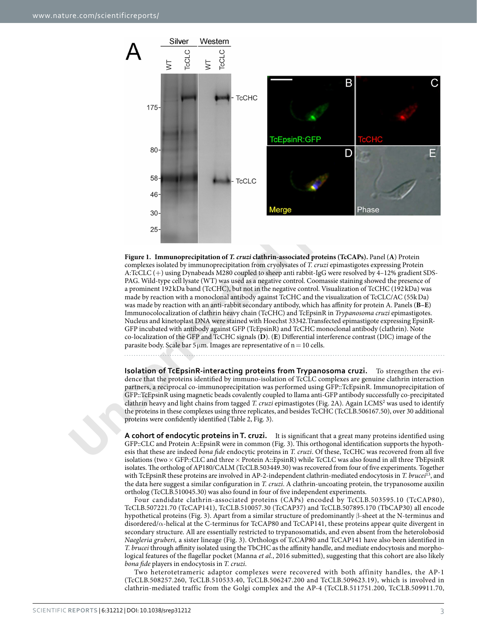

<span id="page-2-0"></span>**Figure 1. Immunoprecipitation of** *T. cruzi* **clathrin-associated proteins (TcCAPs).** Panel (**A**) Protein complexes isolated by immunoprecipitation from cryolysates of *T. cruzi* epimastigotes expressing Protein A:TcCLC (+) using Dynabeads M280 coupled to sheep anti rabbit-IgG were resolved by 4–12% gradient SDS-PAG. Wild-type cell lysate (WT) was used as a negative control. Coomassie staining showed the presence of a prominent 192 kDa band (TcCHC), but not in the negative control. Visualization of TcCHC (192 kDa) was made by reaction with a monoclonal antibody against TcCHC and the visualization of TcCLC/AC (55kDa) was made by reaction with an anti-rabbit secondary antibody, which has afnity for protein A. Panels (**B–E**) Immunocolocalization of clathrin heavy chain (TcCHC) and TcEpsinR in *Trypanosoma cruzi* epimastigotes. Nucleus and kinetoplast DNA were stained with Hoechst 33342.Transfected epimastigote expressing EpsinR-GFP incubated with antibody against GFP (TcEpsinR) and TcCHC monoclonal antibody (clathrin). Note co-localization of the GFP and TcCHC signals (**D**). (**E**) Diferential interference contrast (DIC) image of the parasite body. Scale bar  $5\,\mu$ m. Images are representative of n = 10 cells.

**Isolation of TcEpsinR-interacting proteins from Trypanosoma cruzi.** To strengthen the evidence that the proteins identifed by immuno-isolation of TcCLC complexes are genuine clathrin interaction partners, a reciprocal co-immunoprecipitation was performed using GFP::TcEpsinR. Immunoprecipitation of GFP::TcEpsinR using magnetic beads covalently coupled to llama anti-GFP antibody successfully co-precipitated clathrin heavy and light chains from tagged *T. cruzi* epimastigotes (Fig. 2A). Again LCMS<sup>2</sup> was used to identify the proteins in these complexes using three replicates, and besides TcCHC (TcCLB.506167.50), over 30 additional proteins were confdently identifed (Table 2, Fig. 3).

**A cohort of endocytic proteins in T. cruzi.** It is signifcant that a great many proteins identifed using GFP::CLC and Protein A::EpsinR were in common (Fig. 3). Tis orthogonal identifcation supports the hypothesis that these are indeed *bona* f*de* endocytic proteins in *T. cruzi*. Of these, TcCHC was recovered from all fve isolations (two  $\times$  GFP::CLC and three  $\times$  Protein A::EpsinR) while TcCLC was also found in all three TbEpsinR isolates. The ortholog of AP180/CALM (TcCLB.503449.30) was recovered from four of five experiments. Together with TcEpsinR these proteins are involved in AP-2-independent clathrin-mediated endocytosis in *T. brucei*[13](#page-10-12), and the data here suggest a similar confguration in *T. cruzi*. A clathrin-uncoating protein, the trypanosome auxilin ortholog (TcCLB.510045.30) was also found in four of fve independent experiments.

Four candidate clathrin-associated proteins (CAPs) encoded by TcCLB.503595.10 (TcCAP80), TcCLB.507221.70 (TcCAP141), TcCLB.510057.30 (TcCAP37) and TcCLB.507895.170 (TbCAP30) all encode hypothetical proteins ([Fig.](#page-6-0) 3). Apart from a similar structure of predominantly β-sheet at the N-terminus and disordered/α-helical at the C-terminus for TcCAP80 and TcCAP141, these proteins appear quite divergent in secondary structure. All are essentially restricted to trypanosomatids, and even absent from the heterolobosid *Naegleria gruberi,* a sister lineage [\(Fig.](#page-6-0) 3). Orthologs of TcCAP80 and TcCAP141 have also been identifed in *T. brucei* through afnity isolated using the TbCHC as the afnity handle, and mediate endocytosis and morphological features of the fagellar pocket (Manna *et al.*, 2016 submitted), suggesting that this cohort are also likely *bona* f*de* players in endocytosis in *T. cruzi*.

Two heterotetrameric adaptor complexes were recovered with both affinity handles, the AP-1 (TcCLB.508257.260, TcCLB.510533.40, TcCLB.506247.200 and TcCLB.509623.19), which is involved in clathrin-mediated traffic from the Golgi complex and the AP-4 (TcCLB.511751.200, TcCLB.509911.70,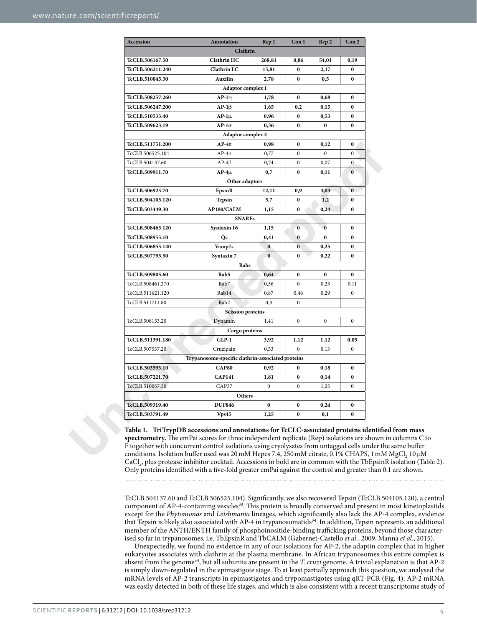<span id="page-3-0"></span>

| Accession               | Annotation                                        | Rep 1        | Con1           | Rep 2        | Con <sub>2</sub> |
|-------------------------|---------------------------------------------------|--------------|----------------|--------------|------------------|
|                         | Clathrin                                          |              |                |              |                  |
| <b>TcCLB.506167.50</b>  | <b>Clathrin HC</b>                                | 268,81       | 0,86           | 54,01        | 0,19             |
| TcCLB.506211.240        | <b>Clathrin LC</b>                                | 15,81        | 0              | 2,17         | $\bf{0}$         |
| TcCLB.510045.30         | Auxilin                                           | 2,78         | 0              | 0,5          | $\bf{0}$         |
|                         | <b>Adaptor complex 1</b>                          |              |                |              |                  |
| TcCLB.508257.260        | $AP-1\gamma$                                      | 1,78         | 0              | 0,68         | $\bf{0}$         |
| <b>TcCLB.506247.200</b> | $AP-1\beta$                                       | 1,65         | 0,2            | 0,15         | $\bf{0}$         |
| TcCLB.510533.40         | $AP-1\mu$                                         | 0,96         | 0              | 0,53         | $\bf{0}$         |
| <b>TcCLB.509623.19</b>  | $AP-1\sigma$                                      | 0,36         | 0              | $\bf{0}$     | $\bf{0}$         |
|                         | Adaptor complex 4                                 |              |                |              |                  |
| <b>TcCLB.511751.200</b> | $AP-4\varepsilon$                                 | 0,98         | 0              | 0,12         | $\bf{0}$         |
| TcCLB.506525.104        | $AP-4\sigma$                                      | 0,77         | $\mathbf{0}$   | $\mathbf{0}$ | $\mathbf{0}$     |
| TcCLB.504137.60         | $AP-4\beta$                                       | 0,74         | $\mathbf{0}$   | 0,07         | $\mathbf{0}$     |
| <b>TcCLB.509911.70</b>  | $AP-4\mu$                                         | 0,7          | 0              | 0,11         | $\bf{0}$         |
|                         | Other adaptors                                    |              |                |              |                  |
| TcCLB.506925.70         | EpsinR                                            | 12,11        | 0,9            | 3,03         | $\bf{0}$         |
| <b>TcCLB.504105.120</b> | Tepsin                                            | 5,7          | 0              | 1,2          | $\bf{0}$         |
| <b>TcCLB.503449.30</b>  | AP180/CALM                                        | 1,15         | 0              | 0,24         | 0                |
|                         | <b>SNAREs</b>                                     |              |                |              |                  |
| TcCLB.508465.120        | Syntaxin 16                                       | 1,15         | 0              | $\bf{0}$     | $\bf{0}$         |
| TcCLB.508955.10         | Qc                                                | 0,41         | 0              | $\bf{0}$     | $\bf{0}$         |
| TcCLB.506855.140        | Vamp7c                                            | $\mathbf{0}$ | $\bf{0}$       | 0,25         | $\bf{0}$         |
| <b>TcCLB.507795.50</b>  | Syntaxin 7                                        | $\bf{0}$     | 0              | 0,22         | $\bf{0}$         |
|                         | Rabs                                              |              |                |              |                  |
| <b>TcCLB.509805.60</b>  | Rab5                                              | 0,64         | 0              | $\bf{0}$     | $\bf{0}$         |
| TcCLB.508461.270        | Rab7                                              | 0,36         | $\overline{0}$ | 0,23         | 0,11             |
| TcCLB.511621.120        | Rab14                                             | 0,87         | 0,46           | 0,29         | $\overline{0}$   |
| TcCLB.511711.80         | Rab <sub>2</sub>                                  | 0,3          | $\mathbf{0}$   |              |                  |
|                         | <b>Scission proteins</b>                          |              |                |              |                  |
| TcCLB.508153.20         | Dynamin                                           | 1,41         | $\mathbf{0}$   | $\mathbf{0}$ | $\mathbf{0}$     |
|                         | Cargo proteins                                    |              |                |              |                  |
| <b>TcCLB.511391.180</b> | $GLP-1$                                           | 3,92         | 1,12           | 1,12         | 0,05             |
| TcCLB.507537.20         | Cruzipain                                         | 0,53         | $\mathbf{0}$   | 0,13         | $\overline{0}$   |
|                         | Trypanosome-specific clathrin-associated proteins |              |                |              |                  |
| TcCLB.503595.10         | CAP80                                             | 0,92         | $\bf{0}$       | 0,18         | 0                |
| TcCLB.507221.70         | <b>CAP141</b>                                     | 1,81         | 0              | 0,14         | 0                |
| TcCLB.510057.30         | CAP37                                             | $\mathbf{0}$ | $\mathbf{0}$   | 1,25         | $\mathbf{0}$     |
|                         | <b>Others</b>                                     |              |                |              |                  |
| TcCLB.509319.40         | <b>DUF846</b>                                     | 0            | 0              | 0,24         | 0                |
|                         | Vps45                                             | 1,25         | 0              | 0,1          | 0                |

**Table 1. TriTrypDB accessions and annotations for TcCLC-associated proteins identifed from mass**  spectrometry. The emPai scores for three independent replicate (Rep) isolations are shown in columns C to F together with concurrent control isolations using cryolysates from untagged cells under the same bufer conditions. Isolation buffer used was 20 mM Hepes 7.4, 250 mM citrate, 0.1% CHAPS, 1 mM MgCl<sub>2</sub> 10µM CaCl2, plus protease inhibitor cocktail. Accessions in bold are in common with the TbEpsinR isolation ([Table](#page-5-0) 2). Only proteins identifed with a fve-fold greater emPai against the control and greater than 0.1 are shown.

TcCLB.504137.60 and TcCLB.506525.104). Signifcantly, we also recovered Tepsin (TcCLB.504105.120), a central component of AP-4-containing vesicles<sup>33</sup>. This protein is broadly conserved and present in most kinetoplastids except for the *Phytomonas* and *Leishmania* lineages, which signifcantly also lack the AP-4 complex, evidence that Tepsin is likely also associated with AP-4 in trypanosomatid[s34.](#page-10-29) In addition, Tepsin represents an additional member of the ANTH/ENTH family of phosphoinositide-binding trafficking proteins, beyond those characterised so far in trypanosomes, i.e. TbEpsinR and TbCALM (Gabernet-Castello *et al.*, 2009, Manna *et al.*, 2015).

Unexpectedly, we found no evidence in any of our isolations for AP-2, the adaptin complex that in higher eukaryotes associates with clathrin at the plasma membrane. In African trypanosomes this entire complex is absent from the genome[34,](#page-10-29) but all subunits are present in the *T. cruzi* genome. A trivial explanation is that AP-2 is simply down-regulated in the epimastigote stage. To at least partially approach this question, we analysed the mRNA levels of AP-2 transcripts in epimastigotes and trypomastigotes using qRT-PCR [\(Fig.](#page-7-0) 4). AP-2 mRNA was easily detected in both of these life stages, and which is also consistent with a recent transcriptome study of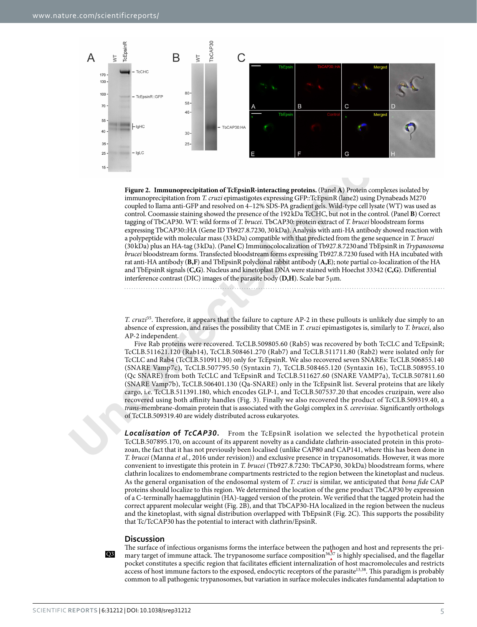

<span id="page-4-0"></span>**Figure 2.** Immunoprecipitation of TeEpsinR-interacting proteins. (Panel A) Protein complementation from Tentari optimal in the control of the control of the control of the control of the control of the control of the sec **Figure 2. Immunoprecipitation of TcEpsinR-interacting proteins.** (Panel **A**) Protein complexes isolated by immunoprecipitation from *T. cruzi* epimastigotes expressing GFP::TcEpsinR (lane2) using Dynabeads M270 coupled to llama anti-GFP and resolved on 4–12% SDS-PA gradient gels. Wild-type cell lysate (WT) was used as control. Coomassie staining showed the presence of the 192kDa TcCHC, but not in the control. (Panel **B**) Correct tagging of TbCAP30. WT: wild forms of *T. brucei*. TbCAP30: protein extract of *T. brucei* bloodstream forms expressing TbCAP30::HA (Gene ID Tb927.8.7230, 30kDa). Analysis with anti-HA antibody showed reaction with a polypeptide with molecular mass (33kDa) compatible with that predicted from the gene sequence in *T. brucei* (30kDa) plus an HA-tag (3kDa). (Panel **C**) Immunocolocalization of Tb927.8.7230and TbEpsinR in *Trypanosoma brucei* bloodstream forms. Transfected bloodstream forms expressing Tb927.8.7230 fused with HA incubated with rat anti-HA antibody (**B,F**) and TbEpsinR polyclonal rabbit antibody (**A,E**); note partial co-localization of the HA and TbEpsinR signals (**C,G**). Nucleus and kinetoplast DNA were stained with Hoechst 33342 (**C,G**). Diferential interference contrast (DIC) images of the parasite body (**D,H**). Scale bar 5µm.

*T. cruzi*<sup>35</sup>. Therefore, it appears that the failure to capture AP-2 in these pullouts is unlikely due simply to an absence of expression, and raises the possibility that CME in *T. cruzi* epimastigotes is, similarly to *T. brucei*, also AP-2 independent.

Five Rab proteins were recovered. TcCLB.509805.60 (Rab5) was recovered by both TcCLC and TcEpsinR; TcCLB.511621.120 (Rab14), TcCLB.508461.270 (Rab7) and TcCLB.511711.80 (Rab2) were isolated only for TcCLC and Rab4 (TcCLB.510911.30) only for TcEpsinR. We also recovered seven SNAREs: TcCLB.506855.140 (SNARE Vamp7c), TcCLB.507795.50 (Syntaxin 7), TcCLB.508465.120 (Syntaxin 16), TcCLB.508955.10 (Qc SNARE) from both TcCLC and TcEpsinR and TcCLB.511627.60 (SNARE VAMP7a), TcCLB.507811.60 (SNARE Vamp7b), TcCLB.506401.130 (Qa-SNARE) only in the TcEpsinR list. Several proteins that are likely cargo, i.e. TcCLB.511391.180, which encodes GLP-1, and TcCLB.507537.20 that encodes cruzipain, were also recovered using both afnity handles (Fig. 3). Finally we also recovered the product of TcCLB.509319.40, a *trans*-membrane-domain protein that is associated with the Golgi complex in *S. cerevisiae.* Signifcantly orthologs of TcCLB.509319.40 are widely distributed across eukaryotes.

*Localisation* **of** *TcCAP30***.** From the TcEpsinR isolation we selected the hypothetical protein TcCLB.507895.170, on account of its apparent novelty as a candidate clathrin-associated protein in this protozoan, the fact that it has not previously been localised (unlike CAP80 and CAP141, where this has been done in *T. brucei* (Manna *et al.*, 2016 under revision)) and exclusive presence in trypanosomatids. However, it was more convenient to investigate this protein in *T. brucei* (Tb927.8.7230: TbCAP30, 30 kDa) bloodstream forms, where clathrin localizes to endomembrane compartments restricted to the region between the kinetoplast and nucleus. As the general organisation of the endosomal system of *T. cruzi* is similar, we anticipated that *bona* f*de* CAP proteins should localize to this region. We determined the location of the gene product TbCAP30 by expression of a C-terminally haemagglutinin (HA)-tagged version of the protein. We verifed that the tagged protein had the correct apparent molecular weight [\(Fig.](#page-4-0) 2B), and that TbCAP30-HA localized in the region between the nucleus and the kinetoplast, with signal distribution overlapped with TbEpsinR ([Fig.](#page-4-0) 2C). Tis supports the possibility that Tc/TcCAP30 has the potential to interact with clathrin/EpsinR.

#### **Discussion**

Q3

The surface of infectious organisms forms the interface between the pathogen and host and represents the primary target of immune attack. The trypanosome surface composition<sup>36,37</sup> is highly specialised, and the flagellar pocket constitutes a specific region that facilitates efficient internalization of host macromolecules and restricts access of host immune factors to the exposed, endocytic receptors of the parasite<sup>13,38</sup>. This paradigm is probably common to all pathogenic trypanosomes, but variation in surface molecules indicates fundamental adaptation to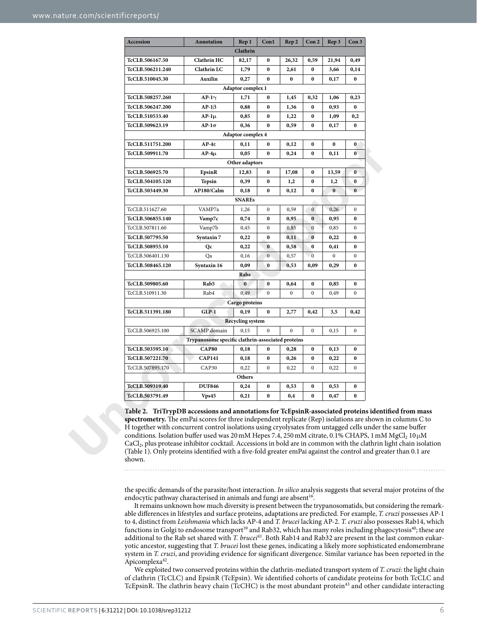<span id="page-5-0"></span>

| <b>Accession</b>        | Annotation                                        | Rep 1                    | Con1           | Rep 2        | Con <sub>2</sub> | Rep 3            | Con <sub>3</sub> |
|-------------------------|---------------------------------------------------|--------------------------|----------------|--------------|------------------|------------------|------------------|
|                         |                                                   | Clathrin                 |                |              |                  |                  |                  |
| TcCLB.506167.50         | Clathrin HC                                       | 82,17                    | 0              | 26,32        | 0,59             | 21,94            | 0,49             |
| <b>TcCLB.506211.240</b> | Clathrin LC                                       | 1,79                     | 0              | 2,61         | $\bf{0}$         | 3,66             | 0,14             |
| TcCLB.510045.30         | Auxilin                                           | 0,27                     | 0              | 0            | $\bf{0}$         | 0,17             | $\bf{0}$         |
|                         |                                                   | Adaptor complex 1        |                |              |                  |                  |                  |
| TcCLB.508257.260        | AP-1 $\gamma$                                     | 1,71                     | $\bf{0}$       | 1,45         | 0,32             | 1,06             | 0,23             |
| <b>TcCLB.506247.200</b> | AP-1β                                             | 0,88                     | 0              | 1,36         | $\bf{0}$         | 0,93             | 0                |
| TcCLB.510533.40         | $AP-1\mu$                                         | 0,85                     | 0              | 1,22         | 0                | 1,09             | 0,2              |
| TcCLB.509623.19         | $AP-1\sigma$                                      | 0,36                     | 0              | 0,59         | 0                | 0,17             | 0                |
|                         |                                                   | <b>Adaptor complex 4</b> |                |              |                  |                  |                  |
| <b>TcCLB.511751.200</b> | $AP-4\varepsilon$                                 | 0,11                     | 0              | 0,12         | 0                | 0                | 0                |
| <b>TcCLB.509911.70</b>  | $AP-4\mu$                                         | 0,05                     | 0              | 0,24         | 0                | 0,11             | $\bf{0}$         |
|                         |                                                   | Other adaptors           |                |              |                  |                  |                  |
| <b>TcCLB.506925.70</b>  | EpsinR                                            | 12,83                    | 0              | 17,08        | $\bf{0}$         | 13,59            | $\bf{0}$         |
| <b>TcCLB.504105.120</b> | Tepsin                                            | 0,39                     | 0              | 1,2          | 0                | 1,2              | 0                |
| <b>TcCLB.503449.30</b>  | <b>AP180/Calm</b>                                 | 0,18                     | 0              | 0,12         | 0                | $\bf{0}$         | $\bf{0}$         |
|                         |                                                   | <b>SNAREs</b>            |                |              |                  |                  |                  |
| TcCLB.511627.60         | VAMP7a                                            | 1,26                     | $\mathbf{0}$   | 0,59         | $\mathbf{0}$     | 0,26             | $\mathbf{0}$     |
| <b>TcCLB.506855.140</b> | Vamp7c                                            | 0,74                     | 0              | 0,95         | $\bf{0}$         | 0,95             | 0                |
| TcCLB.507811.60         | Vamp7b                                            | 0,45                     | 0              | 0,85         | $\bf{0}$         | 0,85             | $\mathbf{0}$     |
| TcCLB.507795.50         | Syntaxin 7                                        | 0,22                     | 0              | 0,11         | $\bf{0}$         | 0,22             | 0                |
| <b>TcCLB.508955.10</b>  | Qc                                                | 0,22                     | $\bf{0}$       | 0,58         | $\bf{0}$         | 0,41             | $\bf{0}$         |
| TcCLB.506401.130        | Qa                                                | 0,16                     | $\mathbf{0}$   | 0,57         | $\mathbf{0}$     | $\boldsymbol{0}$ | $\mathbf{0}$     |
| <b>TcCLB.508465.120</b> | Syntaxin 16                                       | 0,09                     | $\bf{0}$       | 0,53         | 0,09             | 0,29             | $\bf{0}$         |
|                         |                                                   | Rabs                     |                |              |                  |                  |                  |
| <b>TcCLB.509805.60</b>  | Rab5                                              | $\bf{0}$                 | 0              | 0,64         | $\bf{0}$         | 0,85             | $\bf{0}$         |
| TcCLB.510911.30         | Rab4                                              | 0,49                     | $\overline{0}$ | $\mathbf{0}$ | $\mathbf{0}$     | 0,49             | $\mathbf{0}$     |
|                         |                                                   | Cargo proteins           |                |              |                  |                  |                  |
| <b>TcCLB.511391.180</b> | GLP-1                                             | 0,19                     | $\bf{0}$       | 2,77         | 0,42             | 3,5              | 0,42             |
|                         |                                                   | Recycling system         |                |              |                  |                  |                  |
| TcCLB.506925.100        | SCAMP domain                                      | 0,15                     | $\bf{0}$       | $\mathbf{0}$ | $\mathbf{0}$     | 0,15             | $\mathbf{0}$     |
|                         | Trypanosome specific clathrin-associated proteins |                          |                |              |                  |                  |                  |
| TcCLB.503595.10         | <b>CAP80</b>                                      | 0,18                     | $\bf{0}$       | 0,28         | 0                | 0,13             | 0                |
| TcCLB.507221.70         | <b>CAP141</b>                                     | 0,18                     | 0              | 0,26         | $\bf{0}$         | 0,22             | $\bf{0}$         |
| TcCLB.507895.170        | CAP30                                             | 0,22                     | $\mathbf{0}$   | 0,22         | $\mathbf{0}$     | 0,22             | $\mathbf{0}$     |
|                         |                                                   | Others                   |                |              |                  |                  |                  |
| TcCLB.509319.40         | <b>DUF846</b>                                     | 0,24                     | 0              | 0,53         | 0                | 0,53             | 0                |
| TcCLB.503791.49         | Vps45                                             | 0,21                     |                | 0,4          | $\mathbf{0}$     | 0,47             | $\bf{0}$         |

**Table 2. TriTrypDB accessions and annotations for TcEpsinR-associated proteins identifed from mass**  spectrometry. The emPai scores for three independent replicate (Rep) isolations are shown in columns C to H together with concurrent control isolations using cryolysates from untagged cells under the same bufer conditions. Isolation buffer used was 20 mM Hepes 7.4, 250 mM citrate, 0.1% CHAPS, 1 mM MgCl<sub>2</sub> 10 µM CaCl<sub>2</sub>, plus protease inhibitor cocktail. Accessions in bold are in common with the clathrin light chain isolation (Table 1). Only proteins identifed with a fve-fold greater emPai against the control and greater than 0.1 are shown.

the specifc demands of the parasite/host interaction. *In silico* analysis suggests that several major proteins of the endocytic pathway characterised in animals and fungi are absent<sup>16</sup>.

It remains unknown how much diversity is present between the trypanosomatids, but considering the remarkable diferences in lifestyles and surface proteins, adaptations are predicted. For example, *T. cruzi* possesses AP-1 to 4, distinct from *Leishmania* which lacks AP-4 and *T. brucei* lacking AP-2. *T. cruzi* also possesses Rab14, which functions in Golgi to endosome transport<sup>[39](#page-11-2)</sup> and Rab32, which has many roles including phagocytosis<sup>40</sup>; these are additional to the Rab set shared with *T. brucei*[41](#page-11-4). Both Rab14 and Rab32 are present in the last common eukaryotic ancestor, suggesting that *T. brucei* lost these genes, indicating a likely more sophisticated endomembrane system in *T. cruzi*, and providing evidence for signifcant divergence. Similar variance has been reported in the Apicomplexa<sup>42</sup>.

We exploited two conserved proteins within the clathrin-mediated transport system of *T. cruzi*: the light chain of clathrin (TcCLC) and EpsinR (TcEpsin). We identifed cohorts of candidate proteins for both TcCLC and TcEpsinR. The clathrin heavy chain (TcCHC) is the most abundant protein<sup>43</sup> and other candidate interacting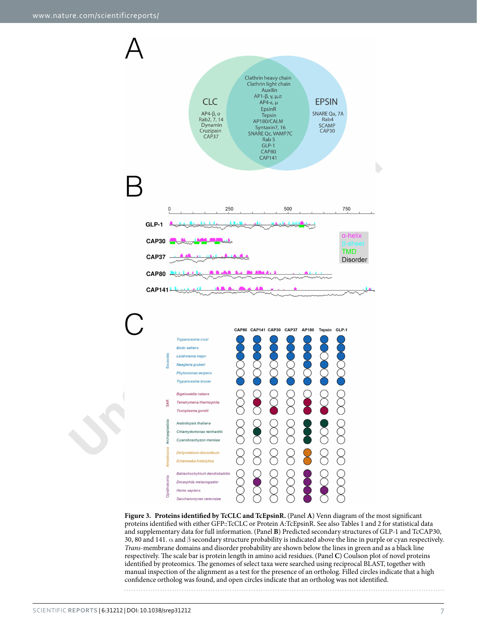

<span id="page-6-0"></span>**Figure 3. Proteins identifed by TcCLC and TcEpsinR.** (Panel **A**) Venn diagram of the most signifcant proteins identifed with either GFP::TcCLC or Protein A:TcEpsinR. See also [Tables](#page-3-0) 1 and [2](#page-5-0) for statistical data and supplementary data for full information. (Panel **B**) Predicted secondary structures of GLP-1 and TcCAP30, 30, 80 and 141. α and β secondary structure probability is indicated above the line in purple or cyan respectively. *Trans*-membrane domains and disorder probability are shown below the lines in green and as a black line respectively. The scale bar is protein length in amino acid residues. (Panel C) Coulson plot of novel proteins identified by proteomics. The genomes of select taxa were searched using reciprocal BLAST, together with manual inspection of the alignment as a test for the presence of an ortholog. Filled circles indicate that a high confdence ortholog was found, and open circles indicate that an ortholog was not identifed.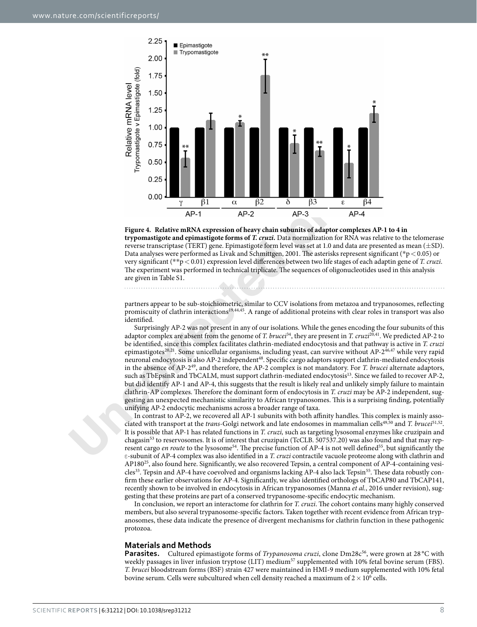

<span id="page-7-0"></span>

partners appear to be sub-stoichiometric, similar to CCV isolations from metazoa and trypanosomes, refecting promiscuity of clathrin interactions19,44,45. A range of additional proteins with clear roles in transport was also identifed.

Surprisingly AP-2 was not present in any of our isolations. While the genes encoding the four subunits of this adaptor complex are absent from the genome of *T. brucei*34, they are present in *T. cruzi*20,41. We predicted AP-2 to be identifed, since this complex facilitates clathrin-mediated endocytosis and that pathway is active in *T. cruzi* epimastigotes<sup>20,21</sup>. Some unicellular organisms, including yeast, can survive without AP-2<sup>[46](#page-11-9),[47](#page-11-10)</sup> while very rapid neuronal endocytosis is also AP-2 independent<sup>48</sup>. Specific cargo adaptors support clathrin-mediated endocytosis in the absence of AP-249, and therefore, the AP-2 complex is not mandatory. For *T. brucei* alternate adaptors, such as TbEpsinR and TbCALM, must support clathrin-mediated endocytosis<sup>13</sup>. Since we failed to recover AP-2, but did identify AP-1 and AP-4, this suggests that the result is likely real and unlikely simply failure to maintain clathrin-AP complexes. Terefore the dominant form of endocytosis in *T. cruzi* may be AP-2 independent, suggesting an unexpected mechanistic similarity to African trypanosomes. Tis is a surprising fnding, potentially unifying AP-2 endocytic mechanisms across a broader range of taxa.

In contrast to AP-2, we recovered all AP-1 subunits with both affinity handles. This complex is mainly associated with transport at the *trans-*Golgi network and late endosomes in mammalian cells[49,](#page-11-12)[50](#page-11-13) and *T. brucei*[51,](#page-11-14)[52.](#page-11-15) It is possible that AP-1 has related functions in *T. cruzi,* such as targeting lysosomal enzymes like cruzipain and chagasin<sup>53</sup> to reservosomes. It is of interest that cruzipain (TcCLB. 507537.20) was also found and that may represent cargo *en route* to the lysosome<sup>54</sup>. The precise function of AP-4 is not well defined<sup>55</sup>, but significantly the ε-subunit of AP-4 complex was also identifed in a *T. cruzi* contractile vacuole proteome along with clathrin and AP180<sup>25</sup>, also found here. Significantly, we also recovered Tepsin, a central component of AP-4-containing vesicles<sup>33</sup>. Tepsin and AP-4 have coevolved and organisms lacking AP-4 also lack Tepsin<sup>55</sup>. These data robustly confrm these earlier observations for AP-4. Signifcantly, we also identifed orthologs of TbCAP80 and TbCAP141, recently shown to be involved in endocytosis in African trypanosomes (Manna *et al.*, 2016 under revision), suggesting that these proteins are part of a conserved trypanosome-specifc endocytic mechanism.

In conclusion, we report an interactome for clathrin for *T. cruzi*. The cohort contains many highly conserved members, but also several trypanosome-specifc factors. Taken together with recent evidence from African trypanosomes, these data indicate the presence of divergent mechanisms for clathrin function in these pathogenic protozoa.

#### **Materials and Methods**

**Parasites.** Cultured epimastigote forms of *Trypanosoma cruzi*, clone Dm28c<sup>56</sup>, were grown at 28 °C with weekly passages in liver infusion tryptose (LIT) medium<sup>57</sup> supplemented with 10% fetal bovine serum (FBS). *T. brucei* bloodstream forms (BSF) strain 427 were maintained in HMI-9 medium supplemented with 10% fetal bovine serum. Cells were subcultured when cell density reached a maximum of  $2\times10^6$  cells.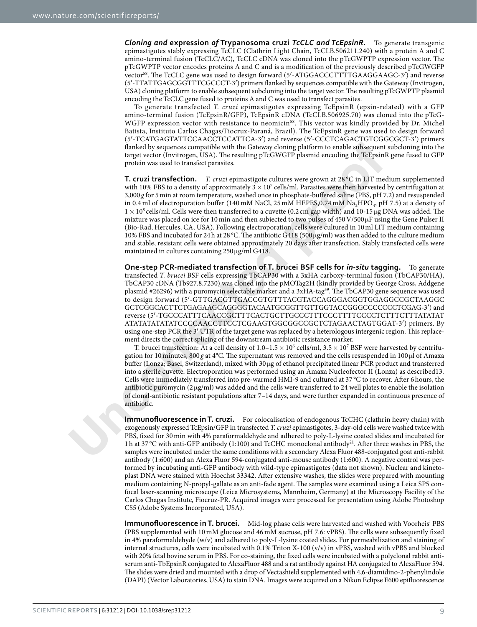*Cloning and* **expression** *of* **Trypanosoma cruzi** *TcCLC and TcEpsinR***.** To generate transgenic epimastigotes stably expressing TcCLC (Clathrin Light Chain, TcCLB.506211.240) with a protein A and C amino-terminal fusion (TcCLC/AC), TcCLC cDNA was cloned into the pTcGWPTP expression vector. The pTcGWPTP vector encodes proteins A and C and is a modifcation of the previously described pTcGWGFP vector<sup>[58](#page-11-21)</sup>. The TcCLC gene was used to design forward (5'-ATGGACCCTTTTGAAGGAAGC-3') and reverse (5′-TTATTGAGCGGTTTCGCCCT-3′) primers fanked by sequences compatible with the Gateway (Invitrogen, USA) cloning platform to enable subsequent subcloning into the target vector. The resulting pTcGWPTP plasmid encoding the TcCLC gene fused to proteins A and C was used to transfect parasites.

To generate transfected *T. cruzi* epimastigotes expressing TcEpsinR (epsin-related) with a GFP amino-terminal fusion (TcEpsinR/GFP), TcEpsinR cDNA (TcCLB.506925.70) was cloned into the pTcG-WGFP expression vector with resistance to neomicin<sup>[58](#page-11-21)</sup>. This vector was kindly provided by Dr. Michel Batista, Instituto Carlos Chagas/Fiocruz-Paraná, Brazil). The TcEpsinR gene was used to design forward (5′-TCATGAGTATTCCAACCTCCATTCA-3′) and reverse (5′-CCCTCAGACTGTCGGCGCT-3′) primers fanked by sequences compatible with the Gateway cloning platform to enable subsequent subcloning into the target vector (Invitrogen, USA). The resulting pTcGWGFP plasmid encoding the TcEpsinR gene fused to GFP protein was used to transfect parasites.

**T. cruzi transfection.** *T. cruzi* epimastigote cultures were grown at 28 °C in LIT medium supplemented with 10% FBS to a density of approximately  $3 \times 10^7$  cells/ml. Parasites were then harvested by centrifugation at 3,000 *g* for 5min at room temperature, washed once in phosphate-bufered saline (PBS, pH 7.2) and resuspended in 0.4 ml of electroporation buffer (140 mM NaCl, 25 mM HEPES, 0.74 mM Na<sub>2</sub>HPO<sub>4</sub>, pH 7.5) at a density of  $1\times10^8$  cells/ml. Cells were then transferred to a cuvette (0.2 cm gap width) and 10-15 µg DNA was added. The mixture was placed on ice for 10 min and then subjected to two pulses of 450 V/500  $\mu$ F using the Gene Pulser II (Bio-Rad, Hercules, CA, USA). Following electroporation, cells were cultured in 10ml LIT medium containing 10% FBS and incubated for 24h at 28 °C. The antibiotic G418 (500 $\mu$ g/ml) was then added to the culture medium and stable, resistant cells were obtained approximately 20 days afer transfection. Stably transfected cells were maintained in cultures containing  $250 \mu g/\text{m}$  G418.

flanked by sequences compatible with the Gatewy cloning platform to enable subsequent tranced by sequences compatible with the Gatewy cloning platform is called all the Test<br>simple create for the resulting product and the **One-step PCR-mediated transfection of T. brucei BSF cells for** *in-situ* **tagging.** To generate transfected *T. brucei* BSF cells expressing TbCAP30 with a 3xHA carboxy-terminal fusion (TbCAP30/HA), TbCAP30 cDNA (Tb927.8.7230) was cloned into the pMOTag2H (kindly provided by George Cross, Addgene plasmid #26296) with a puromycin selectable marker and a 3xHA-tag<sup>59</sup>. The TbCAP30 gene sequence was used to design forward (5′-GTTGACGTTGACCGTGTTTACGTACCAGGGACGGTGGAGGCCGCTAAGGC GCTCGGCACTTCTGAGAAGCAGGGGTACAATGCGGTTGTTGGTACCGGGCCCCCCCTCGAG-3′) and reverse (5′-TGCCCATTTCAACCGCTTTCACTGCTTGCCCTTTCCCTTTTCCCCTCTTTCTTTATATAT ATATATATATATCCCCAACCTTCCTCGAAGTGGCGGCCGCTCTAGAACTAGTGGAT-3′) primers. By using one-step PCR the 3<sup>'</sup> UTR of the target gene was replaced by a heterologous intergenic region. This replacement directs the correct splicing of the downstream antibiotic resistance marker.

T. brucei transfection: At a cell density of  $1.0-1.5 \times 10^6$  cells/ml,  $3.5 \times 10^7$  BSF were harvested by centrifugation for 10 minutes, 800 g at 4°C. The supernatant was removed and the cells resuspended in 100 µl of Amaxa bufer (Lonza; Basel, Switzerland), mixed with 30µg of ethanol precipitated linear PCR product and transferred into a sterile cuvette. Electroporation was performed using an Amaxa Nucleofector II (Lonza) as described13. Cells were immediately transferred into pre-warmed HMI-9 and cultured at 37 °C to recover. Afer 6hours, the antibiotic puromycin (2 µg/ml) was added and the cells were transferred to 24 well plates to enable the isolation of clonal-antibiotic resistant populations afer 7–14 days, and were further expanded in continuous presence of antibiotic.

**Immunofluorescence in T. cruzi.** For colocalisation of endogenous TcCHC (clathrin heavy chain) with exogenously expressed TcEpsin/GFP in transfected *T. cruzi* epimastigotes, 3-day-old cells were washed twice with PBS, fxed for 30 min with 4% paraformaldehyde and adhered to poly-L-lysine coated slides and incubated for 1 h at 37 °C with anti-GFP antibody (1:100) and TcCHC monoclonal antibody<sup>21</sup>. After three washes in PBS, the samples were incubated under the same conditions with a secondary Alexa Fluor 488-conjugated goat anti-rabbit antibody (1:600) and an Alexa Fluor 594-conjugated anti-mouse antibody (1:600). A negative control was performed by incubating anti-GFP antibody with wild-type epimastigotes (data not shown). Nuclear and kinetoplast DNA were stained with Hoechst 33342. Afer extensive washes, the slides were prepared with mounting medium containing N-propyl-gallate as an anti-fade agent. The samples were examined using a Leica SP5 confocal laser-scanning microscope (Leica Microsystems, Mannheim, Germany) at the Microscopy Facility of the Carlos Chagas Institute, Fiocruz-PR. Acquired images were processed for presentation using Adobe Photoshop CS5 (Adobe Systems Incorporated, USA).

**Immunofuorescence in T. brucei.** Mid-log phase cells were harvested and washed with Voorheis' PBS (PBS supplemented with 10 mM glucose and 46 mM sucrose, pH 7.6: vPBS). The cells were subsequently fixed in 4% paraformaldehyde (w/v) and adhered to poly-L-lysine coated slides. For permeabilization and staining of internal structures, cells were incubated with 0.1% Triton X-100 (v/v) in vPBS, washed with vPBS and blocked with 20% fetal bovine serum in PBS. For co-staining, the fxed cells were incubated with a polyclonal rabbit antiserum anti-TbEpsinR conjugated to AlexaFluor 488 and a rat antibody against HA conjugated to AlexaFluor 594. The slides were dried and mounted with a drop of Vectashield supplemented with 4,6-diamidino-2-phenylindole (DAPI) (Vector Laboratories, USA) to stain DNA. Images were acquired on a Nikon Eclipse E600 epifuorescence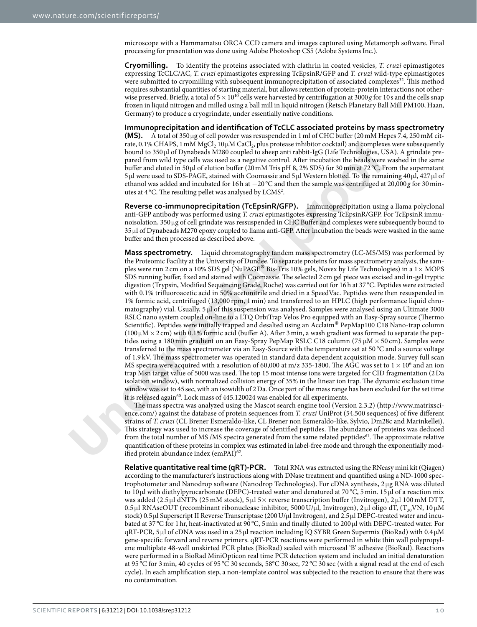microscope with a Hammamatsu ORCA CCD camera and images captured using Metamorph sofware. Final processing for presentation was done using Adobe Photoshop CS5 (Adobe Systems Inc.).

**Cryomilling.** To identify the proteins associated with clathrin in coated vesicles, *T. cruzi* epimastigotes expressing TcCLC/AC, *T. cruzi* epimastigotes expressing TcEpsinR/GFP and *T. cruzi* wild-type epimastigotes were submitted to cryomilling with subsequent immunoprecipitation of associated complexes<sup>32</sup>. This method requires substantial quantities of starting material, but allows retention of protein-protein interactions not otherwise preserved. Briefly, a total of  $5\times10^{10}$  cells were harvested by centrifugation at 3000*g* for 10s and the cells snap frozen in liquid nitrogen and milled using a ball mill in liquid nitrogen (Retsch Planetary Ball Mill PM100, Haan, Germany) to produce a cryogrindate, under essentially native conditions.

**Immunoprecipitation and identifcation of TcCLC associated proteins by mass spectrometry (MS).** A total of 350µg of cell powder was resuspended in 1ml of CHC bufer (20mM Hepes 7.4, 250mM citrate, 0.1% CHAPS, 1 mM MgCl<sub>2</sub> 10 $\mu$ M CaCl<sub>2</sub>, plus protease inhibitor cocktail) and complexes were subsequently bound to 350µl of Dynabeads M280 coupled to sheep anti rabbit-IgG (Life Technologies, USA). A grindate prepared from wild type cells was used as a negative control. Afer incubation the beads were washed in the same bufer and eluted in 50µl of elution bufer (20mM Tris pH 8, 2% SDS) for 30min at 72 °C. From the supernatant 5µl were used to SDS-PAGE, stained with Coomassie and 5µl Western blotted. To the remaining 40µl, 427µl of ethanol was added and incubated for 16h at −20 °C and then the sample was centrifuged at 20,000 *g* for 30minutes at 4 °C. The resulting pellet was analysed by LCMS<sup>2</sup>.

**Reverse co-immunoprecipitation (TcEpsinR/GFP).** Immunoprecipitation using a llama polyclonal anti-GFP antibody was performed using *T. cruzi* epimastigotes expressing TcEpsinR/GFP. For TcEpsinR immunoisolation, 350µg of cell grindate was ressuspended in CHC Bufer and complexes were subsequently bound to 35µl of Dynabeads M270 epoxy coupled to llama anti-GFP. Afer incubation the beads were washed in the same buffer and then processed as described above.

rat, 0.18/CHAPS. I mM WgC<sub>1</sub>, 100M/C<sub>4C</sub>, plus protesas imbibite cocktall) and complex and interested from widd type cells was used as a negative control. After i[nc](http://www.matrixscience.com/)luding ind complex buffer and end and the product buffer a **Mass spectrometry.** Liquid chromatography tandem mass spectrometry (LC-MS/MS) was performed by the Proteomic Facility at the University of Dundee. To separate proteins for mass spectrometry analysis, the samples were run 2 cm on a 10% SDS gel (NuPAGE® Bis-Tris 10% gels, Novex by Life Technologies) in a 1<sup>×</sup> MOPS SDS running buffer, fixed and stained with Coomassie. The selected 2 cm gel piece was excised and in-gel tryptic digestion (Trypsin, Modifed Sequencing Grade, Roche) was carried out for 16h at 37 °C. Peptides were extracted with 0.1% trifuoroacetic acid in 50% acetonitrile and dried in a SpeedVac. Peptides were then resuspended in 1% formic acid, centrifuged (13,000 rpm, 1 min) and transferred to an HPLC (high performance liquid chromatography) vial. Usually, 5 µl of this suspension was analysed. Samples were analysed using an Ultimate 3000 RSLC nano system coupled on-line to a LTQ OrbiTrap Velos Pro equipped with an Easy-Spray source (Thermo Scientifc). Peptides were initially trapped and desalted using an Acclaim® PepMap100 C18 Nano-trap column  $(100 \mu M \times 2 \text{ cm})$  with 0.1% formic acid (buffer A). After 3 min, a wash gradient was formed to separate the peptides using a 180 min gradient on an Easy-Spray PepMap RSLC C18 column (75  $\mu$ M × 50 cm). Samples were transferred to the mass spectrometer via an Easy-Source with the temperature set at 50 °C and a source voltage of 1.9 kV. The mass spectrometer was operated in standard data dependent acquisition mode. Survey full scan MS spectra were acquired with a resolution of 60,000 at m/z 335-1800. The AGC was set to  $1\times10^6$  and an ion trap Msn target value of 5000 was used. The top 15 most intense ions were targeted for CID fragmentation (2Da isolation window), with normalized collision energy of 35% in the linear ion trap. The dynamic exclusion time window was set to 45sec, with an isowidth of 2Da. Once part of the mass range has been excluded for the set time it is released again<sup>60</sup>. Lock mass of 445.120024 was enabled for all experiments.

The mass spectra was analyzed using the Mascot search engine tool (Version 2.3.2) ([http://www.matrixsci](http://www.matrixscience.com/)ence.com/) against the database of protein sequences from *T. cruzi* UniProt (54,500 sequences) of fve diferent strains of *T. cruzi* (CL Brener Esmeraldo-like, CL Brener non Esmeraldo-like, Sylvio, Dm28c and Marinkellei). This strategy was used to increase the coverage of identified peptides. The abundance of proteins was deduced from the total number of MS /MS spectra generated from the same related peptides<sup>61</sup>. The approximate relative quantifcation of these proteins in complex was estimated in label-free mode and through the exponentially modified protein abundance index (emPAI)<sup>62</sup>.

**Relative quantitative real time (qRT)-PCR.** Total RNA was extracted using the RNeasy mini kit (Qiagen) according to the manufacturer's instructions along with DNase treatment and quantifed using a ND-1000 spectrophotometer and Nanodrop sofware (Nanodrop Technologies). For cDNA synthesis, 2 µg RNA was diluted to 10 µl with diethylpyrocarbonate (DEPC)-treated water and denatured at 70 °C, 5min. 15 µl of a reaction mix was added (2.5 µl dNTPs (25 mM stock), 5 µl 5 $\times$  reverse transcription buffer (Invitrogen), 2 µl 100 mM DTT,  $0.5 \,\mu$ l RNAseOUT (recombinant ribonuclease inhibitor, 5000 U/ $\mu$ l, Invitrogen), 2 $\mu$ l oligo dT, (T<sub>30</sub>VN, 10 $\mu$ M stock) 0.5µl Superscript II Reverse Transcriptase (200 U/µl Invitrogen), and 2.5µl DEPC-treated water and incubated at 37 °C for 1hr, heat-inactivated at 90 °C, 5min and fnally diluted to 200µl with DEPC-treated water. For qRT-PCR, 5 µl of cDNA was used in a 25 µl reaction including IQ SYBR Green Supermix (BioRad) with 0.4 µM gene-specifc forward and reverse primers. qRT-PCR reactions were performed in white thin wall polypropylene multiplate 48-well unskirted PCR plates (BioRad) sealed with microseal 'B' adhesive (BioRad). Reactions were performed in a BioRad MiniOpticon real time PCR detection system and included an initial denaturation at 95 °C for 3 min, 40 cycles of 95 °C 30 seconds, 58°C 30 sec, 72 °C 30 sec (with a signal read at the end of each cycle). In each amplifcation step, a non-template control was subjected to the reaction to ensure that there was no contamination.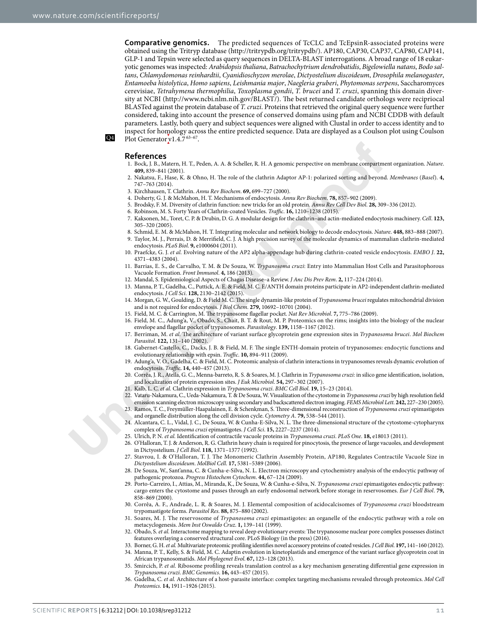**Comparative genomics.** The predicted sequences of TcCLC and TcEpsinR-associated proteins were obtained using the Tritryp database [\(http://tritrypdb.org/tritrypdb/\)](http://tritrypdb.org/tritrypdb/). AP180, CAP30, CAP37, CAP80, CAP141, GLP-1 and Tepsin were selected as query sequences in DELTA-BLAST interrogations. A broad range of 18 eukaryotic genomes was inspected: *Arabidopsis thaliana*, *Batrachochytrium dendrobatidis*, *Bigelowiella natans*, *Bodo saltans*, *Chlamydomonas reinhardtii*, *Cyanidioschyzon merolae*, *Dictyostelium discoideum*, *Drosophila melanogaster*, *Entamoeba histolytica*, *Homo sapiens*, *Leishmania major*, *Naegleria gruberi*, *Phytomonas serpens*, Saccharomyces cerevisiae, *Tetrahymena thermophilia*, *Toxoplasma gondii*, *T. brucei* and *T. cruzi*, spanning this domain diversity at NCBI [\(http://www.ncbi.nlm.nih.gov/BLAST/\)](http://www.ncbi.nlm.nih.gov/BLAST/). Te best returned candidate orthologs were recipriocal BLASTed against the protein database of *T. cruzi*. Proteins that retrieved the original query sequence were further considered, taking into account the presence of conserved domains using pfam and NCBI CDDB with default parameters. Lastly, both query and subject sequences were aligned with Clustal in order to access identity and to inspect for homology across the entire predicted sequence. Data are displayed as a Coulson plot using Coulson Plot Generator v1.4.7 $63-67$ .

### Q4

#### **References**

- <span id="page-10-0"></span>1. Bock, J. B., Matern, H. T., Peden, A. A. & Scheller, R. H. A genomic perspective on membrane compartment organization. *Nature*. **409,** 839–841 (2001).
- <span id="page-10-1"></span>2. Nakatsu, F., Hase, K. & Ohno, H. The role of the clathrin Adaptor AP-1: polarized sorting and beyond. *Membranes* (Basel). 4, 747–763 (2014).
- <span id="page-10-2"></span>3. Kirchhausen, T. Clathrin. *Annu* R*ev Biochem*. **69,** 699–727 (2000).
- <span id="page-10-3"></span>4. Doherty, G. J. & McMahon, H. T. Mechanisms of endocytosis. *Annu* R*ev Biochem*. **78,** 857–902 (2009).
- <span id="page-10-4"></span>5. Brodsky, F. M. Diversity of clathrin function: new tricks for an old protein. *Annu* R*ev Cell Dev Biol*. **28,** 309–336 (2012).
- <span id="page-10-6"></span><span id="page-10-5"></span>6. Robinson, M. S. Forty Years of Clathrin-coated Vesicles. *Tra*f*c*. **16,** 1210–1238 (2015).
- <span id="page-10-32"></span><span id="page-10-31"></span><span id="page-10-30"></span><span id="page-10-29"></span><span id="page-10-28"></span><span id="page-10-27"></span><span id="page-10-26"></span><span id="page-10-25"></span><span id="page-10-24"></span><span id="page-10-23"></span><span id="page-10-22"></span><span id="page-10-21"></span><span id="page-10-20"></span><span id="page-10-19"></span><span id="page-10-18"></span><span id="page-10-17"></span><span id="page-10-16"></span><span id="page-10-15"></span><span id="page-10-14"></span><span id="page-10-13"></span><span id="page-10-12"></span><span id="page-10-11"></span><span id="page-10-10"></span><span id="page-10-9"></span><span id="page-10-8"></span><span id="page-10-7"></span>7. Kaksonen, M., Toret, C. P. & Drubin, D. G. A modular design for the clathrin–and actin-mediated endocytosis machinery. *Cell*. **123,** 305–320 (2005).
- **References**<br> **References**<br> **References**<br> **References**<br> **References**<br> **References**<br> **References**<br> **References**<br> **References**<br> **References**<br> **References**<br> **We set that the set of the clubtin density and beyone and the set** 8. Schmid, E. M. & McMahon, H. T. Integrating molecular and network biology to decode endocytosis. *Nature*. **448,** 883–888 (2007). 9. Taylor, M. J., Perrais, D. & Merrifeld, C. J. A high precision survey of the molecular dynamics of mammalian clathrin-mediated endocytosis. *PLoS Biol*. **9,** e1000604 (2011).
	- 10. Praefcke, G. J. *et al.* Evolving nature of the AP2 alpha-appendage hub during clathrin-coated vesicle endocytosis. *EMBO J*. **22,** 4371–4383 (2004).
	- 11. Barrias, E. S., de Carvalho, T. M. & De Souza, W. *Trypanosoma cruzi*: Entry into Mammalian Host Cells and Parasitophorous Vacuole Formation. *Front Immunol*. **4,** 186 (2013).
	- 12. Mandal, S. Epidemiological Aspects of Chagas Disease–a Review. *J Anc Dis Prev* R*em*. **2,** 117–224 (2014).
	- 13. Manna, P. T., Gadelha, C., Puttick, A. E. & Field, M. C. E/ANTH domain proteins participate in AP2-independent clathrin-mediated endocytosis. *J Cell Sci*. **128,** 2130–2142 (2015).
	- 14. Morgan, G. W., Goulding, D. & Field M. C. Te single dynamin-like protein of *Trypanosoma brucei* regulates mitochondrial division and is not required for endocytosis. *J Biol Chem*. **279,** 10692–10701 (2004).
	- 15. Field, M. C. & Carrington, M. The trypanosome flagellar pocket. Nat Rev Microbiol. 7, 775-786 (2009).
	- 16. Field, M. C., Adung'a, V., Obado, S., Chait, B. T. & Rout, M. P. Proteomics on the rims; insights into the biology of the nuclear envelope and fagellar pocket of trypanosomes. *Parasitology*. **139,** 1158–1167 (2012).
	- 17. Berriman, M. *et al.* Te architecture of variant surface glycoprotein gene expression sites in *Trypanosoma brucei*. *Mol Biochem Parasitol*. **122,** 131–140 (2002).
	- 18. Gabernet-Castello, C., Dacks, J. B. & Field, M. F. Te single ENTH-domain protein of trypanosomes: endocytic functions and evolutionary relationship with epsin. *Traffic*. 10, 894-911 (2009).
	- 19. Adung'a, V. O., Gadelha, C. & Field, M. C. Proteomic analysis of clathrin interactions in trypanosomes reveals dynamic evolution of endocytosis. *Tra*f*c*. **14,** 440–457 (2013).
	- 20. Corrêa, J. R., Atella, G. C., Menna-barreto, R. S. & Soares, M. J. Clathrin in *Trypanosoma cruzi:* in silico gene identifcation, isolation, and localization of protein expression sites. *J Eu*k *Microbiol*. **54,** 297–302 (2007).
	- 21. Kalb, L. C. *et al.* Clathrin expression in *Trypanosoma cruzi*. *BMC Cell Biol*. **19,** 15–23 (2014).
	- 22. Vataru-Nakamura, C., Ueda-Nakamura, T. & De Souza, W. Visualization of the cytostome in *Trypanosoma cruzi* by high resolution feld emission scanning electron microscopy using secondary and backscattered electron imaging. *FEMS Microbiol Lett*. **242,** 227–230 (2005).
	- 23. Ramos, T. C., Freymüller-Haapalainen, E. & Schenkman, S. Tree-dimensional reconstruction of *Trypanosoma cruzi* epimastigotes and organelle distribution along the cell division cycle. *Cytometry A*. **79,** 538–544 (2011).
	- 24. Alcantara, C. L., Vidal, J. C., De Souza, W. & Cunha-E-Silva, N. L. Te three-dimensional structure of the cytostome-cytopharynx complex of *Trypanosoma cruzi* epimastigotes. *J Cell Sci*. **15,** 2227–2237 (2014).
	- 25. Ulrich, P. N. *et al.* Identifcation of contractile vacuole proteins in *Trypanosoma cruzi*. *PLoS One*. **18,** e18013 (2011).
	- 26. O'Halloran, T. J. & Anderson, R. G. Clathrin heavy chain is required for pinocytosis, the presence of large vacuoles, and development in Dictyostelium. *J Cell Biol*. **118,** 1371–1377 (1992).
	- 27. Stavrou, I. & O'Halloran, T. J. The Monomeric Clathrin Assembly Protein, AP180, Regulates Contractile Vacuole Size in *Dictyostelium discoideum*. *MolBiol Cell*. **17,** 5381–5389 (2006).
	- 28. De Souza, W., Sant'anna, C. & Cunha-e-Silva, N. L. Electron microscopy and cytochemistry analysis of the endocytic pathway of pathogenic protozoa. *Progress Histochem Cytochem*. **44,** 67–124 (2009).
	- 29. Porto-Carreiro, I., Attias, M., Miranda, K., De Souza, W. & Cunha-e-Silva, N. *Trypanosoma cruzi* epimastigotes endocytic pathway: cargo enters the cytostome and passes through an early endosomal network before storage in reservosomes. *Eur J Cell Biol*. **79,** 858–869 (2000).
	- 30. Corrêa, A. F., Andrade, L. R. & Soares, M. J. Elemental composition of acidocalcisomes of *Trypanosoma cruzi* bloodstream trypomastigote forms. *Parasitol* R*es*. **88,** 875–880 (2002).
	- 31. Soares, M. J. The reservosome of *Trypanosoma cruzi* epimastigotes: an organelle of the endocytic pathway with a role on metacyclogenesis. *Mem Inst Oswaldo Cruz*. **1,** 139–141 (1999).
	- 32. Obado, S. et al. Interactome mapping to reveal deep evolutionary events: The trypanosome nuclear pore complex possesses distinct features overlaying a conserved structural core. PLoS Biology (in the press) (2016).
	- 33. Borner, G. H. *et al.* Multivariate proteomic profling identifes novel accessory proteins of coated vesicles. *J Cell Biol*. **197,** 141–160 (2012).
	- 34. Manna, P. T., Kelly, S. & Field, M. C. Adaptin evolution in kinetoplastids and emergence of the variant surface glycoprotein coat in African trypanosomatids. *Mol Phylogenet Evol*. **67,** 123–128 (2013).
	- 35. Smircich, P. *et al.* Ribosome profling reveals translation control as a key mechanism generating diferential gene expression in *Trypanosoma cruzi*. *BMC Genomics*. **16,** 443–457 (2015).
	- 36. Gadelha, C. *et al.* Architecture of a host-parasite interface: complex targeting mechanisms revealed through proteomics. *Mol Cell Proteomics*. **14,** 1911–1926 (2015).